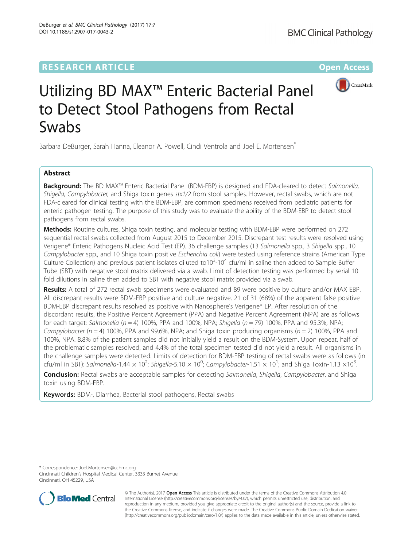DOI 10.1186/s12907-017-0043-2

DeBurger et al. BMC Clinical Pathology (2017) 17:7



# Utilizing BD MAX™ Enteric Bacterial Panel to Detect Stool Pathogens from Rectal Swabs

Barbara DeBurger, Sarah Hanna, Eleanor A. Powell, Cindi Ventrola and Joel E. Mortensen<sup>®</sup>

## Abstract

**Background:** The BD MAX™ Enteric Bacterial Panel (BDM-EBP) is designed and FDA-cleared to detect Salmonella, Shigella, Campylobacter, and Shiga toxin genes stx1/2 from stool samples. However, rectal swabs, which are not FDA-cleared for clinical testing with the BDM-EBP, are common specimens received from pediatric patients for enteric pathogen testing. The purpose of this study was to evaluate the ability of the BDM-EBP to detect stool pathogens from rectal swabs.

Methods: Routine cultures, Shiga toxin testing, and molecular testing with BDM-EBP were performed on 272 sequential rectal swabs collected from August 2015 to December 2015. Discrepant test results were resolved using Verigene® Enteric Pathogens Nucleic Acid Test (EP). 36 challenge samples (13 Salmonella spp., 3 Shigella spp., 10 Campylobacter spp., and 10 Shiga toxin positive Escherichia coli) were tested using reference strains (American Type Culture Collection) and previous patient isolates diluted to10<sup>3</sup>-10<sup>4</sup> cfu/ml in saline then added to Sample Buffer Tube (SBT) with negative stool matrix delivered via a swab. Limit of detection testing was performed by serial 10 fold dilutions in saline then added to SBT with negative stool matrix provided via a swab.

Results: A total of 272 rectal swab specimens were evaluated and 89 were positive by culture and/or MAX EBP. All discrepant results were BDM-EBP positive and culture negative. 21 of 31 (68%) of the apparent false positive BDM-EBP discrepant results resolved as positive with Nanosphere's Verigene® EP. After resolution of the discordant results, the Positive Percent Agreement (PPA) and Negative Percent Agreement (NPA) are as follows for each target: Salmonella ( $n = 4$ ) 100%, PPA and 100%, NPA; Shigella ( $n = 79$ ) 100%, PPA and 95.3%, NPA; Campylobacter ( $n = 4$ ) 100%, PPA and 99.6%, NPA; and Shiga toxin producing organisms ( $n = 2$ ) 100%, PPA and 100%, NPA. 8.8% of the patient samples did not initially yield a result on the BDM-System. Upon repeat, half of the problematic samples resolved, and 4.4% of the total specimen tested did not yield a result. All organisms in the challenge samples were detected. Limits of detection for BDM-EBP testing of rectal swabs were as follows (in cfu/ml in SBT): Salmonella-1.44  $\times$  10<sup>2</sup>; Shigella-5.10  $\times$  10<sup>0</sup>; Campylobacter-1.51  $\times$  10<sup>1</sup>; and Shiga Toxin-1.13  $\times$ 10<sup>3</sup> .

Conclusion: Rectal swabs are acceptable samples for detecting Salmonella, Shigella, Campylobacter, and Shiga toxin using BDM-EBP.

Keywords: BDM-, Diarrhea, Bacterial stool pathogens, Rectal swabs

\* Correspondence: [Joel.Mortensen@cchmc.org](mailto:Joel.Mortensen@cchmc.org)

Cincinnati Children's Hospital Medical Center, 3333 Burnet Avenue, Cincinnati, OH 45229, USA



© The Author(s). 2017 **Open Access** This article is distributed under the terms of the Creative Commons Attribution 4.0 International License [\(http://creativecommons.org/licenses/by/4.0/](http://creativecommons.org/licenses/by/4.0/)), which permits unrestricted use, distribution, and reproduction in any medium, provided you give appropriate credit to the original author(s) and the source, provide a link to the Creative Commons license, and indicate if changes were made. The Creative Commons Public Domain Dedication waiver [\(http://creativecommons.org/publicdomain/zero/1.0/](http://creativecommons.org/publicdomain/zero/1.0/)) applies to the data made available in this article, unless otherwise stated.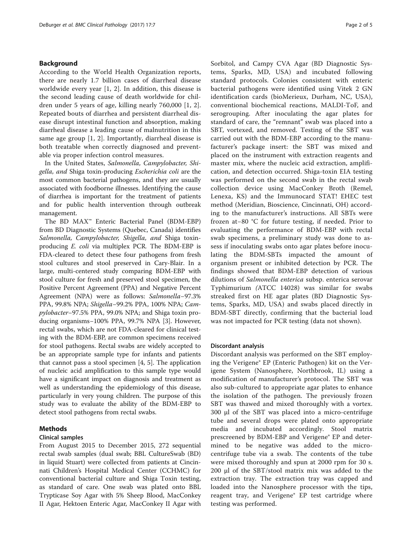## Background

According to the World Health Organization reports, there are nearly 1.7 billion cases of diarrheal disease worldwide every year [[1, 2\]](#page-3-0). In addition, this disease is the second leading cause of death worldwide for children under 5 years of age, killing nearly 760,000 [\[1](#page-3-0), [2](#page-3-0)]. Repeated bouts of diarrhea and persistent diarrheal disease disrupt intestinal function and absorption, making diarrheal disease a leading cause of malnutrition in this same age group [[1](#page-3-0), [2\]](#page-3-0). Importantly, diarrheal disease is both treatable when correctly diagnosed and preventable via proper infection control measures.

In the United States, Salmonella, Campylobacter, Shigella, and Shiga toxin-producing Escherichia coli are the most common bacterial pathogens, and they are usually associated with foodborne illnesses. Identifying the cause of diarrhea is important for the treatment of patients and for public health intervention through outbreak management.

The BD MAX™ Enteric Bacterial Panel (BDM-EBP) from BD Diagnostic Systems (Quebec, Canada) identifies Salmonella, Campylobacter, Shigella, and Shiga toxinproducing E. coli via multiplex PCR. The BDM-EBP is FDA-cleared to detect these four pathogens from fresh stool cultures and stool preserved in Cary-Blair. In a large, multi-centered study comparing BDM-EBP with stool culture for fresh and preserved stool specimen, the Positive Percent Agreement (PPA) and Negative Percent Agreement (NPA) were as follows: Salmonella−97.3% PPA, 99.8% NPA; Shigella−99.2% PPA, 100% NPA; Campylobacter−97.5% PPA, 99.0% NPA; and Shiga toxin producing organisms−100% PPA, 99.7% NPA [[3](#page-3-0)]. However, rectal swabs, which are not FDA-cleared for clinical testing with the BDM-EBP, are common specimens received for stool pathogens. Rectal swabs are widely accepted to be an appropriate sample type for infants and patients that cannot pass a stool specimen [[4,](#page-3-0) [5\]](#page-4-0). The application of nucleic acid amplification to this sample type would have a significant impact on diagnosis and treatment as well as understanding the epidemiology of this disease, particularly in very young children. The purpose of this study was to evaluate the ability of the BDM-EBP to detect stool pathogens from rectal swabs.

## Methods

## Clinical samples

From August 2015 to December 2015, 272 sequential rectal swab samples (dual swab; BBL CultureSwab (BD) in liquid Stuart) were collected from patients at Cincinnati Children's Hospital Medical Center (CCHMC) for conventional bacterial culture and Shiga Toxin testing, as standard of care. One swab was plated onto BBL Trypticase Soy Agar with 5% Sheep Blood, MacConkey II Agar, Hektoen Enteric Agar, MacConkey II Agar with Sorbitol, and Campy CVA Agar (BD Diagnostic Systems, Sparks, MD, USA) and incubated following standard protocols. Colonies consistent with enteric bacterial pathogens were identified using Vitek 2 GN identification cards (bioMerieux, Durham, NC, USA), conventional biochemical reactions, MALDI-ToF, and serogrouping. After inoculating the agar plates for standard of care, the "remnant" swab was placed into a SBT, vortexed, and removed. Testing of the SBT was carried out with the BDM-EBP according to the manufacturer's package insert: the SBT was mixed and placed on the instrument with extraction reagents and master mix, where the nucleic acid extraction, amplification, and detection occurred. Shiga-toxin EIA testing was performed on the second swab in the rectal swab collection device using MacConkey Broth (Remel, Lenexa, KS) and the Immunocard STAT! EHEC test method (Meridian, Bioscience, Cincinnati, OH) according to the manufacturer's instructions. All SBTs were frozen at−80 °C for future testing, if needed. Prior to evaluating the performance of BDM-EBP with rectal swab specimens, a preliminary study was done to assess if inoculating swabs onto agar plates before inoculating the BDM-SBTs impacted the amount of organism present or inhibited detection by PCR. The findings showed that BDM-EBP detection of various dilutions of Salmonella enterica subsp. enterica serovar Typhimurium (ATCC 14028) was similar for swabs streaked first on HE agar plates (BD Diagnostic Systems, Sparks, MD, USA) and swabs placed directly in BDM-SBT directly, confirming that the bacterial load was not impacted for PCR testing (data not shown).

## Discordant analysis

Discordant analysis was performed on the SBT employing the Verigene® EP (Enteric Pathogen) kit on the Verigene System (Nanosphere, Northbrook, IL) using a modification of manufacturer's protocol. The SBT was also sub-cultured to appropriate agar plates to enhance the isolation of the pathogen. The previously frozen SBT was thawed and mixed thoroughly with a vortex. 300 μl of the SBT was placed into a micro-centrifuge tube and several drops were plated onto appropriate media and incubated accordingly. Stool matrix prescreened by BDM-EBP and Verigene® EP and determined to be negative was added to the microcentrifuge tube via a swab. The contents of the tube were mixed thoroughly and spun at 2000 rpm for 30 s. 200 μl of the SBT/stool matrix mix was added to the extraction tray. The extraction tray was capped and loaded into the Nanosphere processor with the tips, reagent tray, and Verigene® EP test cartridge where testing was performed.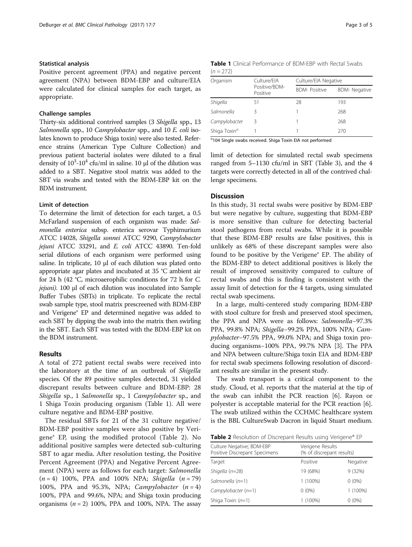## Statistical analysis

Positive percent agreement (PPA) and negative percent agreement (NPA) between BDM-EBP and culture/EIA were calculated for clinical samples for each target, as appropriate.

## Challenge samples

Thirty-six additional contrived samples (3 Shigella spp., 13 Salmonella spp., 10 Campylobacter spp., and 10 E. coli isolates known to produce Shiga toxin) were also tested. Reference strains (American Type Culture Collection) and previous patient bacterial isolates were diluted to a final density of  $10^3$ - $10^4$  cfu/ml in saline. 10 µl of the dilution was added to a SBT. Negative stool matrix was added to the SBT via swabs and tested with the BDM-EBP kit on the BDM instrument.

## Limit of detection

To determine the limit of detection for each target, a 0.5 McFarland suspension of each organism was made: Salmonella enterica subsp. enterica serovar Typhimurium ATCC 14028, Shigella sonnei ATCC 9290, Campylobacter jejuni ATCC 33291, and E. coli ATCC 43890. Ten-fold serial dilutions of each organism were performed using saline. In triplicate, 10 μl of each dilution was plated onto appropriate agar plates and incubated at 35 °C ambient air for 24 h (42 °C, microaerophilic conditions for 72 h for C. jejuni). 100 μl of each dilution was inoculated into Sample Buffer Tubes (SBTs) in triplicate. To replicate the rectal swab sample type, stool matrix prescreened with BDM-EBP and Verigene® EP and determined negative was added to each SBT by dipping the swab into the matrix then swirling in the SBT. Each SBT was tested with the BDM-EBP kit on the BDM instrument.

## Results

A total of 272 patient rectal swabs were received into the laboratory at the time of an outbreak of Shigella species. Of the 89 positive samples detected, 31 yielded discrepant results between culture and BDM-EBP: 28 Shigella sp., 1 Salmonella sp., 1 Campylobacter sp., and 1 Shiga Toxin producing organism (Table 1). All were culture negative and BDM-EBP positive.

The residual SBTs for 21 of the 31 culture negative/ BDM-EBP positive samples were also positive by Verigene® EP, using the modified protocol (Table 2). No additional positive samples were detected sub-culturing SBT to agar media. After resolution testing, the Positive Percent Agreement (PPA) and Negative Percent Agreement (NPA) were as follows for each target: Salmonella  $(n = 4)$  100%, PPA and 100% NPA; *Shigella*  $(n = 79)$ 100%, PPA and 95.3%, NPA; Campylobacter  $(n = 4)$ 100%, PPA and 99.6%, NPA; and Shiga toxin producing organisms  $(n = 2)$  100%, PPA and 100%, NPA. The assay

|             | <b>Table 1</b> Clinical Performance of BDM-EBP with Rectal Swabs |  |  |
|-------------|------------------------------------------------------------------|--|--|
| $(n = 272)$ |                                                                  |  |  |

| Organism                 | Culture/EIA<br>Positive/BDM-<br>Positive | Culture/EIA Negative |                      |
|--------------------------|------------------------------------------|----------------------|----------------------|
|                          |                                          | <b>BDM-Positive</b>  | <b>BDM-</b> Negative |
| Shigella                 | 51                                       | 28                   | 193                  |
| Salmonella               | ζ                                        |                      | 268                  |
| Campylobacter            | ζ                                        |                      | 268                  |
| Shiga Toxin <sup>a</sup> |                                          |                      | 270                  |

<sup>a</sup>104 Single swabs received. Shiga Toxin EIA not performed

limit of detection for simulated rectal swab specimens ranged from 5–1130 cfu/ml in SBT (Table [3](#page-3-0)), and the 4 targets were correctly detected in all of the contrived challenge specimens.

## **Discussion**

In this study, 31 rectal swabs were positive by BDM-EBP but were negative by culture, suggesting that BDM-EBP is more sensitive than culture for detecting bacterial stool pathogens from rectal swabs. While it is possible that these BDM-EBP results are false positives, this is unlikely as 68% of these discrepant samples were also found to be positive by the Verigene® EP. The ability of the BDM-EBP to detect additional positives is likely the result of improved sensitivity compared to culture of rectal swabs and this is finding is consistent with the assay limit of detection for the 4 targets, using simulated rectal swab specimens.

In a large, multi-centered study comparing BDM-EBP with stool culture for fresh and preserved stool specimen, the PPA and NPA were as follows: Salmonella−97.3% PPA, 99.8% NPA; Shigella−99.2% PPA, 100% NPA; Campylobacter−97.5% PPA, 99.0% NPA; and Shiga toxin producing organisms−100% PPA, 99.7% NPA [[3](#page-3-0)]. The PPA and NPA between culture/Shiga toxin EIA and BDM-EBP for rectal swab specimens following resolution of discordant results are similar in the present study.

The swab transport is a critical component to the study. Cloud, et al. reports that the material at the tip of the swab can inhibit the PCR reaction [\[6](#page-4-0)]. Rayon or polyester is acceptable material for the PCR reaction [\[6](#page-4-0)]. The swab utilized within the CCHMC healthcare system is the BBL CultureSwab Dacron in liquid Stuart medium.

| <b>Table 2</b> Resolution of Discrepant Results using Verigene® EP |  |  |
|--------------------------------------------------------------------|--|--|
|--------------------------------------------------------------------|--|--|

| Culture Negative; BDM-EBP<br>Positive Discrepant Specimens | Verigene Results<br>(% of discrepant results) |          |
|------------------------------------------------------------|-----------------------------------------------|----------|
| Target                                                     | Positive                                      | Negative |
| Shigella $(n=28)$                                          | 19 (68%)                                      | 9(32%)   |
| Salmonella $(n=1)$                                         | $1(100\%)$                                    | $0(0\%)$ |
| Campylobacter $(n=1)$                                      | $0(0\%)$                                      | 1 (100%) |
| Shiga Toxin $(n=1)$                                        | $1(100\%)$                                    | $0(0\%)$ |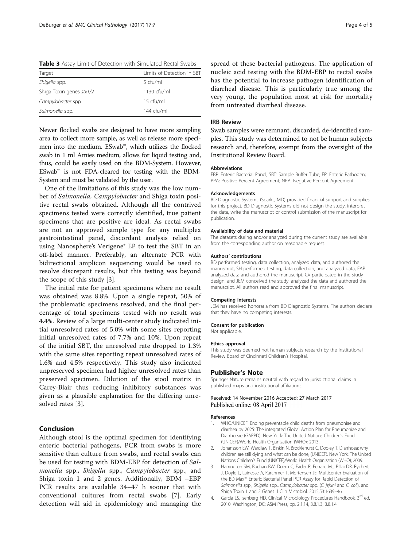<span id="page-3-0"></span>Table 3 Assay Limit of Detection with Simulated Rectal Swabs

| Target                   | Limits of Detection in SBT |
|--------------------------|----------------------------|
| Shigella spp.            | 5 cfu/ml                   |
| Shiga Toxin genes stx1/2 | $1130 \text{ cfu/ml}$      |
| Campylobacter spp.       | 15 cfu/ml                  |
| Salmonella spp.          | 144 cfu/ml                 |

Newer flocked swabs are designed to have more sampling area to collect more sample, as well as release more specimen into the medium. ESwab™, which utilizes the flocked swab in 1 ml Amies medium, allows for liquid testing and, thus, could be easily used on the BDM-System. However, ESwab™ is not FDA-cleared for testing with the BDM-System and must be validated by the user.

One of the limitations of this study was the low number of Salmonella, Campylobacter and Shiga toxin positive rectal swabs obtained. Although all the contrived specimens tested were correctly identified, true patient specimens that are positive are ideal. As rectal swabs are not an approved sample type for any multiplex gastrointestinal panel, discordant analysis relied on using Nanosphere's Verigene® EP to test the SBT in an off-label manner. Preferably, an alternate PCR with bidirectional amplicon sequencing would be used to resolve discrepant results, but this testing was beyond the scope of this study [3].

The initial rate for patient specimens where no result was obtained was 8.8%. Upon a single repeat, 50% of the problematic specimens resolved, and the final percentage of total specimens tested with no result was 4.4%. Review of a large multi-center study indicated initial unresolved rates of 5.0% with some sites reporting initial unresolved rates of 7.7% and 10%. Upon repeat of the initial SBT, the unresolved rate dropped to 1.3% with the same sites reporting repeat unresolved rates of 1.6% and 4.5% respectively. This study also indicated unpreserved specimen had higher unresolved rates than preserved specimen. Dilution of the stool matrix in Carey-Blair thus reducing inhibitory substances was given as a plausible explanation for the differing unresolved rates [3].

## Conclusion

Although stool is the optimal specimen for identifying enteric bacterial pathogens, PCR from swabs is more sensitive than culture from swabs, and rectal swabs can be used for testing with BDM-EBP for detection of Salmonella spp., Shigella spp., Campylobacter spp., and Shiga toxin 1 and 2 genes. Additionally, BDM –EBP PCR results are available 34–47 h sooner that with conventional cultures from rectal swabs [[7\]](#page-4-0). Early detection will aid in epidemiology and managing the

spread of these bacterial pathogens. The application of nucleic acid testing with the BDM-EBP to rectal swabs has the potential to increase pathogen identification of diarrheal disease. This is particularly true among the very young, the population most at risk for mortality from untreated diarrheal disease.

## IRB Review

Swab samples were remnant, discarded, de-identified samples. This study was determined to not be human subjects research and, therefore, exempt from the oversight of the Institutional Review Board.

#### **Abbreviations**

EBP: Enteric Bacterial Panel; SBT: Sample Buffer Tube; EP: Enteric Pathogen; PPA: Positive Percent Agreement; NPA: Negative Percent Agreement

#### Acknowledgements

BD Diagnostic Systems (Sparks, MD) provided financial support and supplies for this project. BD Diagnostic Systems did not design the study, interpret the data, write the manuscript or control submission of the manuscript for publication.

#### Availability of data and material

The datasets during and/or analyzed during the current study are available from the corresponding author on reasonable request.

#### Authors' contributions

BD performed testing, data collection, analyzed data, and authored the manuscript, SH performed testing, data collection, and analyzed data, EAP analyzed data and authored the manuscript, CV participated in the study design, and JEM conceived the study, analyzed the data and authored the manuscript. All authors read and approved the final manuscript.

#### Competing interests

JEM has received honoraria from BD Diagnostic Systems. The authors declare that they have no competing interests.

#### Consent for publication

Not applicable.

#### Ethics approval

This study was deemed not human subjects research by the Institutional Review Board of Cincinnati Children's Hospital.

## Publisher's Note

Springer Nature remains neutral with regard to jurisdictional claims in published maps and institutional affiliations.

#### Received: 14 November 2016 Accepted: 27 March 2017 Published online: 08 April 2017

#### References

- 1. WHO/UNICEF. Ending preventable child deaths from pneumoniae and diarrhea by 2025: The integrated Global Action Plan for Pneumoniae and Diarrhoeae (GAPPD). New York: The United Nations Children's Fund (UNICEF)/World Health Organization (WHO); 2013.
- 2. Johansson EW, Wardlaw T, Binkin N, Brocklehurst C, Dooley T. Diarrhoea: why children are still dying and what can be done, (UNICEF). New York: The United Nations Children's Fund (UNICEF)/World Health Organization (WHO); 2009.
- 3. Harrington SM, Buchan BW, Doern C, Fader R, Ferraro MJ, Pillai DR, Rychert J, Doyle L, Lainesse A, Karchmer T, Mortensen JE. Multicenter Evaluation of the BD Max™ Enteric Bacterial Panel PCR Assay for Rapid Detection of Salmonella spp., Shigella spp., Campylobacter spp. (C. jejuni and C. coli), and Shiga Toxin 1 and 2 Genes. J Clin Microbiol. 2015;53:1639–46.
- 4. Garcia LS, Isenberg HD, Clinical Microbiology Procedures Handbook. 3rd ed. 2010. Washington, DC: ASM Press, pp. 2.1.14, 3.8.1.3, 3.8.1.4.